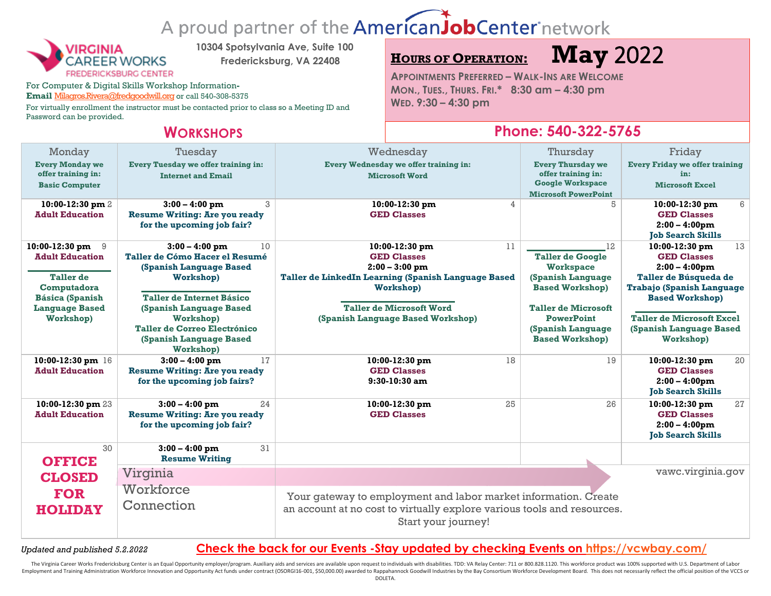# A proud partner of the AmericanJobCenter network



**10304 Spotsylvania Ave, Suite 100**

**Fredericksburg, VA 22408**

For Computer & Digital Skills Workshop Information**-**

Email [Milagros.Rivera@fredgoodwill.org](mailto:Milagros.Rivera@fredgoodwill.org) or call 540-308-5375

For virtually enrollment the instructor must be contacted prior to class so a Meeting ID and Password can be provided.

**<sup>H</sup>OURS OF OPERATION: May** 2022

**APPOINTMENTS PREFERRED – WALK-INS ARE WELCOME MON., TUES., THURS. FRI.\* 8:30 am – 4:30 pm WED. 9:30 – 4:30 pm**

## **WORKSHOPS Phone: 540-322-5765**

| Monday<br><b>Every Monday we</b><br>offer training in:<br><b>Basic Computer</b>                                                    | Tuesday<br><b>Every Tuesday we offer training in:</b><br><b>Internet and Email</b>                                                                       | Wednesday<br>Every Wednesday we offer training in:<br><b>Microsoft Word</b>                                                                                           | Thursday<br><b>Every Thursday we</b><br>offer training in:<br><b>Google Workspace</b><br><b>Microsoft PowerPoint</b>                  | Friday<br><b>Every Friday we offer training</b><br>in:<br><b>Microsoft Excel</b>                                                               |  |
|------------------------------------------------------------------------------------------------------------------------------------|----------------------------------------------------------------------------------------------------------------------------------------------------------|-----------------------------------------------------------------------------------------------------------------------------------------------------------------------|---------------------------------------------------------------------------------------------------------------------------------------|------------------------------------------------------------------------------------------------------------------------------------------------|--|
| 10:00-12:30 pm 2<br><b>Adult Education</b>                                                                                         | 3<br>$3:00 - 4:00$ pm<br><b>Resume Writing: Are you ready</b><br>for the upcoming job fair?                                                              | 10:00-12:30 pm<br>$\overline{4}$<br><b>GED Classes</b>                                                                                                                | 5                                                                                                                                     | 6<br>10:00-12:30 pm<br><b>GED Classes</b><br>$2:00 - 4:00$ pm<br><b>Tob Search Skills</b>                                                      |  |
| 10:00-12:30 pm $9$<br><b>Adult Education</b><br><b>Taller</b> de<br>Computadora<br><b>Básica (Spanish</b><br><b>Language Based</b> | 10<br>$3:00 - 4:00$ pm<br>Taller de Cómo Hacer el Resumé<br>(Spanish Language Based<br>Workshop)<br>Taller de Internet Básico<br>(Spanish Language Based | 11<br>10:00-12:30 pm<br><b>GED Classes</b><br>$2:00 - 3:00$ pm<br>Taller de LinkedIn Learning (Spanish Language Based<br>Workshop)<br><b>Taller de Microsoft Word</b> | 12<br><b>Taller de Google</b><br><b>Workspace</b><br><b>(Spanish Language</b><br><b>Based Workshop)</b><br><b>Taller de Microsoft</b> | 13<br>10:00-12:30 pm<br><b>GED Classes</b><br>$2:00 - 4:00$ pm<br>Taller de Búsqueda de<br>Trabajo (Spanish Language<br><b>Based Workshop)</b> |  |
| Workshop)                                                                                                                          | Workshop)<br><b>Taller de Correo Electrónico</b><br>(Spanish Language Based<br>Workshop)                                                                 | (Spanish Language Based Workshop)                                                                                                                                     | <b>PowerPoint</b><br>(Spanish Language<br><b>Based Workshop)</b>                                                                      | <b>Taller de Microsoft Excel</b><br>(Spanish Language Based<br>Workshop)                                                                       |  |
| 10:00-12:30 pm 16<br><b>Adult Education</b>                                                                                        | 17<br>$3:00 - 4:00$ pm<br><b>Resume Writing: Are you ready</b><br>for the upcoming job fairs?                                                            | 10:00-12:30 pm<br>18<br><b>GED Classes</b><br>$9:30-10:30$ am                                                                                                         | 19                                                                                                                                    | 10:00-12:30 pm<br>20<br><b>GED Classes</b><br>$2:00 - 4:00$ pm<br><b>Job Search Skills</b>                                                     |  |
| 10:00-12:30 pm 23<br><b>Adult Education</b>                                                                                        | $3:00 - 4:00$ pm<br>24<br><b>Resume Writing: Are you ready</b><br>for the upcoming job fair?                                                             | 25<br>$10:00-12:30$ pm<br><b>GED Classes</b>                                                                                                                          | 26                                                                                                                                    | 27<br>$10:00-12:30$ pm<br><b>GED Classes</b><br>$2:00 - 4:00$ pm<br><b>Job Search Skills</b>                                                   |  |
| 30<br><b>OFFICE</b>                                                                                                                | 31<br>$3:00 - 4:00$ pm<br><b>Resume Writing</b>                                                                                                          |                                                                                                                                                                       |                                                                                                                                       |                                                                                                                                                |  |
| <b>CLOSED</b><br><b>FOR</b><br><b>HOLIDAY</b>                                                                                      | Virginia                                                                                                                                                 | vawc.virginia.gov                                                                                                                                                     |                                                                                                                                       |                                                                                                                                                |  |
|                                                                                                                                    | Workforce<br>Connection                                                                                                                                  | Your gateway to employment and labor market information. Create<br>an account at no cost to virtually explore various tools and resources.<br>Start your journey!     |                                                                                                                                       |                                                                                                                                                |  |

## *Updated and published 5.2.2022* **Check the back for our Events -Stay updated by checking Events on<https://vcwbay.com/>**

The Virginia Career Works Fredericksburg Center is an Equal Opportunity employer/program. Auxiliary aids and services are available upon request to individuals with disabilities. TDD: VA Relay Center: 711 or 800.828.1120. Employment and Training Administration Workforce Innovation and Opportunity Act funds under contract (OSORG116-001, \$50,000.00) awarded to Rappahannock Goodwill Industries by the Bay Consortium Workforce Development Board.